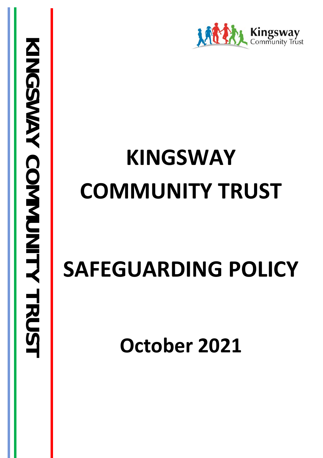

# **KINGSWAY COMMUNITY TRUST**

# **SAFEGUARDING POLICY**

**October 2021**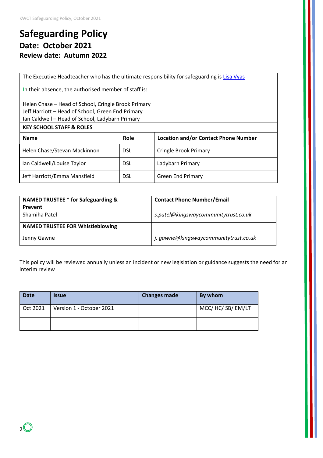# **Safeguarding Policy Date: October 2021 Review date: Autumn 2022**

The Executive Headteacher who has the ultimate responsibility for safeguarding is [Lisa Vyas](mailto:l.vyas@ladybarn.manchester.sch.uk)

In their absence, the authorised member of staff is:

#### Helen Chase – Head of School, Cringle Brook Primary Jeff Harriott – Head of School, Green End Primary Ian Caldwell – Head of School, Ladybarn Primary

| <b>KEY SCHOOL STAFF &amp; ROLES</b> |            |                                             |  |  |
|-------------------------------------|------------|---------------------------------------------|--|--|
| <b>Name</b>                         | Role       | <b>Location and/or Contact Phone Number</b> |  |  |
| Helen Chase/Stevan Mackinnon        | <b>DSL</b> | <b>Cringle Brook Primary</b>                |  |  |
| Ian Caldwell/Louise Taylor          | <b>DSL</b> | Ladybarn Primary                            |  |  |
| Jeff Harriott/Emma Mansfield        | <b>DSL</b> | <b>Green End Primary</b>                    |  |  |

| NAMED TRUSTEE * for Safeguarding &      | <b>Contact Phone Number/Email</b>     |  |
|-----------------------------------------|---------------------------------------|--|
| Prevent                                 |                                       |  |
| Shamiha Patel                           | s.patel@kingswaycommunitytrust.co.uk  |  |
| <b>NAMED TRUSTEE FOR Whistleblowing</b> |                                       |  |
| Jenny Gawne                             | j. gawne@kingswaycommunitytrust.co.uk |  |

This policy will be reviewed annually unless an incident or new legislation or guidance suggests the need for an interim review

| <b>Date</b> | <b>Issue</b>             | <b>Changes made</b> | By whom         |
|-------------|--------------------------|---------------------|-----------------|
| Oct 2021    | Version 1 - October 2021 |                     | MCC/HC/SB/EM/LT |
|             |                          |                     |                 |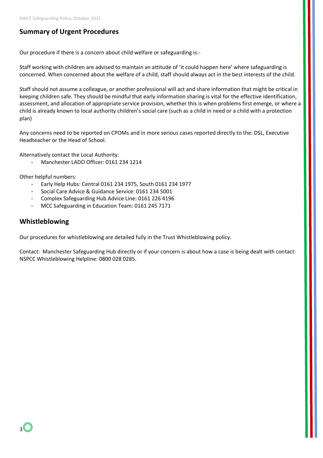## **Summary of Urgent Procedures**

Our procedure if there is a concern about child welfare or safeguarding is:-

Staff working with children are advised to maintain an attitude of 'it could happen here' where safeguarding is concerned. When concerned about the welfare of a child, staff should always act in the best interests of the child.

Staff should not assume a colleague, or another professional will act and share information that might be critical in keeping children safe. They should be mindful that early information sharing is vital for the effective identification, assessment, and allocation of appropriate service provision, whether this is when problems first emerge, or where a child is already known to local authority children's social care (such as a child in need or a child with a protection plan)

Any concerns need to be reported on CPOMs and in more serious cases reported directly to the: DSL, Executive Headteacher or the Head of School.

Alternatively contact the Local Authority:

- Manchester LADO Officer: 0161 234 1214

Other helpful numbers:

- Early Help Hubs: Central 0161 234 1975, South 0161 234 1977
- Social Care Advice & Guidance Service: 0161 234 5001
- Complex Safeguarding Hub Advice Line: 0161 226 4196
- MCC Safeguarding in Education Team: 0161 245 7171

## **Whistleblowing**

Our procedures for whistleblowing are detailed fully in the Trust Whistleblowing policy.

Contact: Manchester Safeguarding Hub directly or if your concern is about how a case is being dealt with contact: NSPCC Whistleblowing Helpline: 0800 028 0285.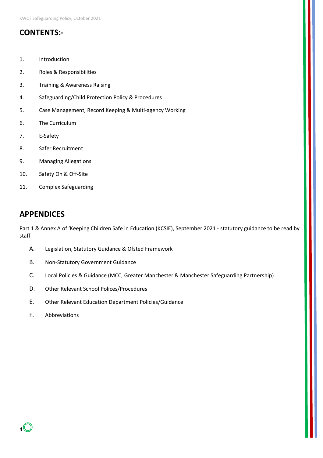## **CONTENTS:-**

- 1. Introduction
- 2. Roles & Responsibilities
- 3. Training & Awareness Raising
- 4. Safeguarding/Child Protection Policy & Procedures
- 5. Case Management, Record Keeping & Multi-agency Working
- 6. The Curriculum
- 7. E-Safety
- 8. Safer Recruitment
- 9. Managing Allegations
- 10. Safety On & Off-Site
- 11. Complex Safeguarding

## **APPENDICES**

Part 1 & Annex A of 'Keeping Children Safe in Education (KCSIE), September 2021 - statutory guidance to be read by staff

- A. Legislation, Statutory Guidance & Ofsted Framework
- B. Non-Statutory Government Guidance
- C. Local Policies & Guidance (MCC, Greater Manchester & Manchester Safeguarding Partnership)
- D. Other Relevant School Polices/Procedures
- E. Other Relevant Education Department Policies/Guidance
- F. Abbreviations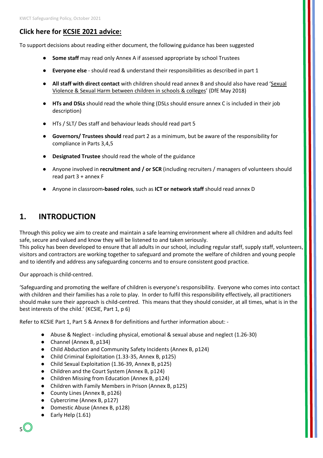## **Click here for [KCSIE 2021 advice:](https://chrome.google.com/webstore/detail/adobe-acrobat/efaidnbmnnnibpcajpcglclefindmkaj?hl=en-GB)**

To support decisions about reading either document, the following guidance has been suggested

- **Some staff** may read only Annex A if assessed appropriate by school Trustees
- **Everyone else** should read & understand their responsibilities as described in part 1
- **All staff with direct contact** with children should read annex B and should also have read ['Sexual](https://www.gov.uk/government/publications/sexual-violence-and-sexual-harassment-between-children-in-schools-and-colleges)  [Violence & Sexual Harm between children in schools & colleges'](https://www.gov.uk/government/publications/sexual-violence-and-sexual-harassment-between-children-in-schools-and-colleges) (DfE May 2018)
- **HTs and DSLs** should read the whole thing (DSLs should ensure annex C is included in their job description)
- HTs / SLT/ Des staff and behaviour leads should read part 5
- **Governors/ Trustees should** read part 2 as a minimum, but be aware of the responsibility for compliance in Parts 3,4,5
- **Designated Trustee** should read the whole of the guidance
- Anyone involved in **recruitment and / or SCR** (including recruiters / managers of volunteers should read part 3 + annex F
- Anyone in classroom**-based roles**, such as **ICT or network staff** should read annex D

# **1. INTRODUCTION**

Through this policy we aim to create and maintain a safe learning environment where all children and adults feel safe, secure and valued and know they will be listened to and taken seriously.

This policy has been developed to ensure that all adults in our school, including regular staff, supply staff, volunteers, visitors and contractors are working together to safeguard and promote the welfare of children and young people and to identify and address any safeguarding concerns and to ensure consistent good practice.

Our approach is child-centred.

'Safeguarding and promoting the welfare of children is everyone's responsibility. Everyone who comes into contact with children and their families has a role to play. In order to fulfil this responsibility effectively, all practitioners should make sure their approach is child-centred. This means that they should consider, at all times, what is in the best interests of the child.' (KCSIE, Part 1, p 6)

Refer to KCSIE Part 1, Part 5 & Annex B for definitions and further information about: -

- Abuse & Neglect including physical, emotional & sexual abuse and neglect (1.26-30)
- Channel (Annex B, p134)
- Child Abduction and Community Safety Incidents (Annex B, p124)
- Child Criminal Exploitation (1.33-35, Annex B, p125)
- Child Sexual Exploitation (1.36-39, Annex B, p125)
- Children and the Court System (Annex B, p124)
- Children Missing from Education (Annex B, p124)
- Children with Family Members in Prison (Annex B, p125)
- County Lines (Annex B, p126)
- Cybercrime (Annex B, p127)
- Domestic Abuse (Annex B, p128)
- Early Help (1.61)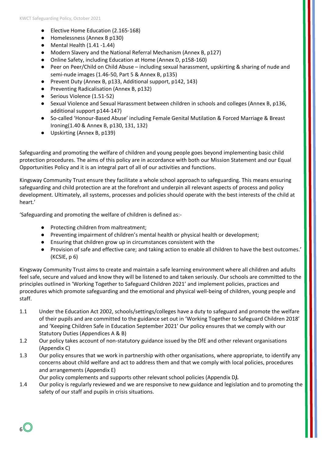- Elective Home Education (2.165-168)
- Homelessness (Annex B p130)
- $\bullet$  Mental Health  $(1.41 1.44)$
- Modern Slavery and the National Referral Mechanism (Annex B, p127)
- Online Safety, including Education at Home (Annex D, p158-160)
- Peer on Peer/Child on Child Abuse including sexual harassment, upskirting & sharing of nude and semi-nude images (1.46-50, Part 5 & Annex B, p135)
- Prevent Duty (Annex B, p133, Additional support, p142, 143)
- Preventing Radicalisation (Annex B, p132)
- Serious Violence (1.51-52)
- Sexual Violence and Sexual Harassment between children in schools and colleges (Annex B, p136, additional support p144-147)
- So-called 'Honour-Based Abuse' including Female Genital Mutilation & Forced Marriage & Breast Ironing(1.40 & Annex B, p130, 131, 132)
- Upskirting (Annex B, p139)

Safeguarding and promoting the welfare of children and young people goes beyond implementing basic child protection procedures. The aims of this policy are in accordance with both our Mission Statement and our Equal Opportunities Policy and it is an integral part of all of our activities and functions.

Kingsway Community Trust ensure they facilitate a whole school approach to safeguarding. This means ensuring safeguarding and child protection are at the forefront and underpin all relevant aspects of process and policy development. Ultimately, all systems, processes and policies should operate with the best interests of the child at heart.'

'Safeguarding and promoting the welfare of children is defined as:-

- Protecting children from maltreatment;
- Preventing impairment of children's mental health or physical health or development;
- Ensuring that children grow up in circumstances consistent with the
- Provision of safe and effective care; and taking action to enable all children to have the best outcomes.' (KCSIE, p 6)

Kingsway Community Trust aims to create and maintain a safe learning environment where all children and adults feel safe, secure and valued and know they will be listened to and taken seriously. Our schools are committed to the principles outlined in 'Working Together to Safeguard Children 2021' and implement policies, practices and procedures which promote safeguarding and the emotional and physical well-being of children, young people and staff.

- 1.1 Under the Education Act 2002, schools/settings/colleges have a duty to safeguard and promote the welfare of their pupils and are committed to the guidance set out in 'Working Together to Safeguard Children 2018' and 'Keeping Children Safe in Education September 2021' Our policy ensures that we comply with our Statutory Duties (Appendices A & B)
- 1.2 Our policy takes account of non-statutory guidance issued by the DfE and other relevant organisations (Appendix C)
- 1.3 Our policy ensures that we work in partnership with other organisations, where appropriate, to identify any concerns about child welfare and act to address them and that we comply with local policies, procedures and arrangements (Appendix E)

Our policy complements and supports other relevant school policies (Appendix D*).* 

1.4 Our policy is regularly reviewed and we are responsive to new guidance and legislation and to promoting the safety of our staff and pupils in crisis situations.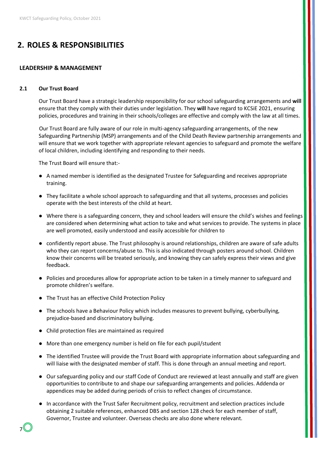# **2. ROLES & RESPONSIBILITIES**

#### **LEADERSHIP & MANAGEMENT**

#### **2.1 Our Trust Board**

Our Trust Board have a strategic leadership responsibility for our school safeguarding arrangements and **will** ensure that they comply with their duties under legislation. They **will** have regard to KCSiE 2021, ensuring policies, procedures and training in their schools/colleges are effective and comply with the law at all times.

Our Trust Board are fully aware of our role in multi-agency safeguarding arrangements, of the new Safeguarding Partnership (MSP) arrangements and of the Child Death Review partnership arrangements and will ensure that we work together with appropriate relevant agencies to safeguard and promote the welfare of local children, including identifying and responding to their needs.

The Trust Board will ensure that:-

- A named member is identified as the designated Trustee for Safeguarding and receives appropriate training.
- They facilitate a whole school approach to safeguarding and that all systems, processes and policies operate with the best interests of the child at heart.
- Where there is a safeguarding concern, they and school leaders will ensure the child's wishes and feelings are considered when determining what action to take and what services to provide. The systems in place are well promoted, easily understood and easily accessible for children to
- confidently report abuse. The Trust philosophy is around relationships, children are aware of safe adults who they can report concerns/abuse to. This is also indicated through posters around school. Children know their concerns will be treated seriously, and knowing they can safely express their views and give feedback.
- Policies and procedures allow for appropriate action to be taken in a timely manner to safeguard and promote children's welfare.
- The Trust has an effective Child Protection Policy
- The schools have a Behaviour Policy which includes measures to prevent bullying, cyberbullying, prejudice-based and discriminatory bullying.
- Child protection files are maintained as required
- More than one emergency number is held on file for each pupil/student
- The identified Trustee will provide the Trust Board with appropriate information about safeguarding and will liaise with the designated member of staff. This is done through an annual meeting and report.
- Our safeguarding policy and our staff Code of Conduct are reviewed at least annually and staff are given opportunities to contribute to and shape our safeguarding arrangements and policies. Addenda or appendices may be added during periods of crisis to reflect changes of circumstance.
- In accordance with the Trust Safer Recruitment policy, recruitment and selection practices include obtaining 2 suitable references, enhanced DBS and section 128 check for each member of staff, Governor, Trustee and volunteer. Overseas checks are also done where relevant.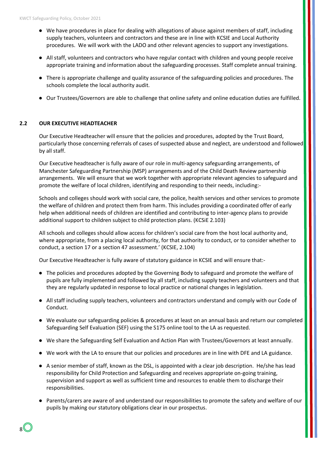- We have procedures in place for dealing with allegations of abuse against members of staff, including supply teachers, volunteers and contractors and these are in line with KCSIE and Local Authority procedures. We will work with the LADO and other relevant agencies to support any investigations.
- All staff, volunteers and contractors who have regular contact with children and young people receive appropriate training and information about the safeguarding processes. Staff complete annual training.
- There is appropriate challenge and quality assurance of the safeguarding policies and procedures. The schools complete the local authority audit.
- Our Trustees/Governors are able to challenge that online safety and online education duties are fulfilled.

#### **2.2 OUR EXECUTIVE HEADTEACHER**

Our Executive Headteacher will ensure that the policies and procedures, adopted by the Trust Board, particularly those concerning referrals of cases of suspected abuse and neglect, are understood and followed by all staff.

Our Executive headteacher is fully aware of our role in multi-agency safeguarding arrangements, of Manchester Safeguarding Partnership (MSP) arrangements and of the Child Death Review partnership arrangements. We will ensure that we work together with appropriate relevant agencies to safeguard and promote the welfare of local children, identifying and responding to their needs, including:-

Schools and colleges should work with social care, the police, health services and other services to promote the welfare of children and protect them from harm. This includes providing a coordinated offer of early help when additional needs of children are identified and contributing to inter-agency plans to provide additional support to children subject to child protection plans. (KCSiE 2.103)

All schools and colleges should allow access for children's social care from the host local authority and, where appropriate, from a placing local authority, for that authority to conduct, or to consider whether to conduct, a section 17 or a section 47 assessment.' (KCSIE, 2.104)

Our Executive Headteacher is fully aware of statutory guidance in KCSIE and will ensure that:-

- The policies and procedures adopted by the Governing Body to safeguard and promote the welfare of pupils are fully implemented and followed by all staff, including supply teachers and volunteers and that they are regularly updated in response to local practice or national changes in legislation.
- All staff including supply teachers, volunteers and contractors understand and comply with our Code of Conduct.
- We evaluate our safeguarding policies & procedures at least on an annual basis and return our completed Safeguarding Self Evaluation (SEF) using the S175 online tool to the LA as requested.
- We share the Safeguarding Self Evaluation and Action Plan with Trustees/Governors at least annually.
- We work with the LA to ensure that our policies and procedures are in line with DFE and LA guidance.
- A senior member of staff, known as the DSL, is appointed with a clear job description. He/she has lead responsibility for Child Protection and Safeguarding and receives appropriate on-going training, supervision and support as well as sufficient time and resources to enable them to discharge their responsibilities.
- Parents/carers are aware of and understand our responsibilities to promote the safety and welfare of our pupils by making our statutory obligations clear in our prospectus.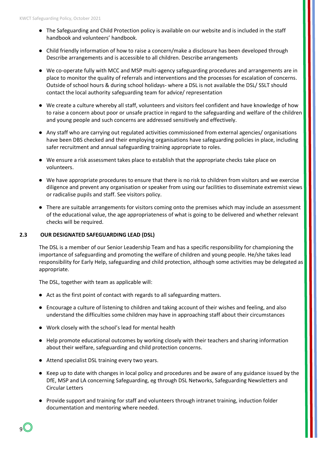- The Safeguarding and Child Protection policy is available on our website and is included in the staff handbook and volunteers' handbook.
- Child friendly information of how to raise a concern/make a disclosure has been developed through Describe arrangements and is accessible to all children. Describe arrangements
- We co-operate fully with MCC and MSP multi-agency safeguarding procedures and arrangements are in place to monitor the quality of referrals and interventions and the processes for escalation of concerns. Outside of school hours & during school holidays- where a DSL is not available the DSL/ SSLT should contact the local authority safeguarding team for advice/ representation
- We create a culture whereby all staff, volunteers and visitors feel confident and have knowledge of how to raise a concern about poor or unsafe practice in regard to the safeguarding and welfare of the children and young people and such concerns are addressed sensitively and effectively.
- Any staff who are carrying out regulated activities commissioned from external agencies/ organisations have been DBS checked and their employing organisations have safeguarding policies in place, including safer recruitment and annual safeguarding training appropriate to roles.
- We ensure a risk assessment takes place to establish that the appropriate checks take place on volunteers.
- We have appropriate procedures to ensure that there is no risk to children from visitors and we exercise diligence and prevent any organisation or speaker from using our facilities to disseminate extremist views or radicalise pupils and staff. See visitors policy.
- There are suitable arrangements for visitors coming onto the premises which may include an assessment of the educational value, the age appropriateness of what is going to be delivered and whether relevant checks will be required.

## **2.3 OUR DESIGNATED SAFEGUARDING LEAD (DSL)**

The DSL is a member of our Senior Leadership Team and has a specific responsibility for championing the importance of safeguarding and promoting the welfare of children and young people. He/she takes lead responsibility for Early Help, safeguarding and child protection, although some activities may be delegated as appropriate.

The DSL, together with team as applicable will:

- Act as the first point of contact with regards to all safeguarding matters.
- Encourage a culture of listening to children and taking account of their wishes and feeling, and also understand the difficulties some children may have in approaching staff about their circumstances
- Work closely with the school's lead for mental health
- Help promote educational outcomes by working closely with their teachers and sharing information about their welfare, safeguarding and child protection concerns.
- Attend specialist DSL training every two years.
- Keep up to date with changes in local policy and procedures and be aware of any guidance issued by the DfE, MSP and LA concerning Safeguarding, eg through DSL Networks, Safeguarding Newsletters and Circular Letters
- Provide support and training for staff and volunteers through intranet training, induction folder documentation and mentoring where needed.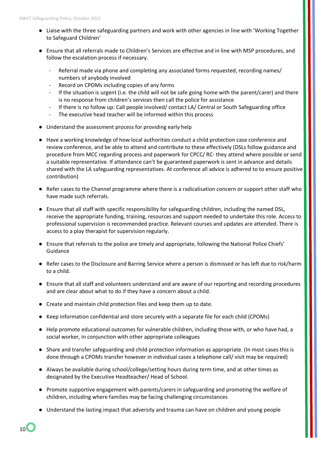- Liaise with the three safeguarding partners and work with other agencies in line with 'Working Together to Safeguard Children'
- Ensure that all referrals made to Children's Services are effective and in line with MSP procedures, and follow the escalation process if necessary.
	- Referral made via phone and completing any associated forms requested, recording names/ numbers of anybody involved
	- Record on CPOMs including copies of any forms
	- If the situation is urgent (i.e. the child will not be safe going home with the parent/carer) and there is no response from children's services then call the police for assistance
	- If there is no follow up: Call people involved/ contact LA/ Central or South Safeguarding office
	- The executive head teacher will be informed within this process
- Understand the assessment process for providing early help
- Have a working knowledge of how local authorities conduct a child protection case conference and review conference, and be able to attend and contribute to these effectively (DSLs follow guidance and procedure from MCC regarding process and paperwork for CPCC/ RC- they attend where possible or send a suitable representative. If attendance can't be guaranteed paperwork is sent in advance and details shared with the LA safeguarding representatives. At conference all advice is adhered to to ensure positive contribution)
- Refer cases to the Channel programme where there is a radicalisation concern or support other staff who have made such referrals.
- Ensure that all staff with specific responsibility for safeguarding children, including the named DSL, receive the appropriate funding, training, resources and support needed to undertake this role. Access to professional supervision is recommended practice. Relevant courses and updates are attended. There is access to a play therapist for supervision regularly.
- Ensure that referrals to the police are timely and appropriate, following the National Police Chiefs' Guidance
- Refer cases to the Disclosure and Barring Service where a person is dismissed or has left due to risk/harm to a child.
- Ensure that all staff and volunteers understand and are aware of our reporting and recording procedures and are clear about what to do if they have a concern about a child.
- Create and maintain child protection files and keep them up to date.
- Keep information confidential and store securely with a separate file for each child (CPOMs)
- Help promote educational outcomes for vulnerable children, including those with, or who have had, a social worker, in conjunction with other appropriate colleagues
- Share and transfer safeguarding and child protection information as appropriate. (In most cases this is done through a CPOMs transfer however in individual cases a telephone call/ visit may be required)
- Always be available during school/college/setting hours during term time, and at other times as designated by the Executive Headteacher/ Head of School.
- Promote supportive engagement with parents/carers in safeguarding and promoting the welfare of children, including where families may be facing challenging circumstances
- Understand the lasting impact that adversity and trauma can have on children and young people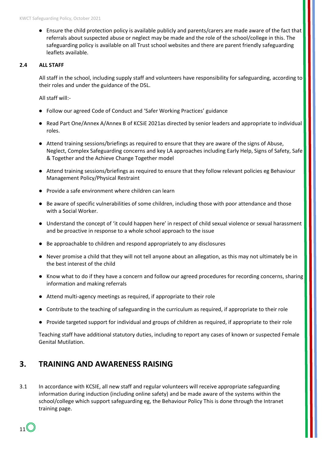● Ensure the child protection policy is available publicly and parents/carers are made aware of the fact that referrals about suspected abuse or neglect may be made and the role of the school/college in this. The safeguarding policy is available on all Trust school websites and there are parent friendly safeguarding leaflets available.

#### **2.4 ALL STAFF**

All staff in the school, including supply staff and volunteers have responsibility for safeguarding, according to their roles and under the guidance of the DSL.

All staff will:-

- Follow our agreed Code of Conduct and 'Safer Working Practices' guidance
- Read Part One/Annex A/Annex B of KCSiE 2021as directed by senior leaders and appropriate to individual roles.
- Attend training sessions/briefings as required to ensure that they are aware of the signs of Abuse, Neglect, Complex Safeguarding concerns and key LA approaches including Early Help, Signs of Safety, Safe & Together and the Achieve Change Together model
- Attend training sessions/briefings as required to ensure that they follow relevant policies eg Behaviour Management Policy/Physical Restraint
- Provide a safe environment where children can learn
- Be aware of specific vulnerabilities of some children, including those with poor attendance and those with a Social Worker.
- Understand the concept of 'it could happen here' in respect of child sexual violence or sexual harassment and be proactive in response to a whole school approach to the issue
- Be approachable to children and respond appropriately to any disclosures
- Never promise a child that they will not tell anyone about an allegation, as this may not ultimately be in the best interest of the child
- Know what to do if they have a concern and follow our agreed procedures for recording concerns, sharing information and making referrals
- Attend multi-agency meetings as required, if appropriate to their role
- Contribute to the teaching of safeguarding in the curriculum as required, if appropriate to their role
- Provide targeted support for individual and groups of children as required, if appropriate to their role

Teaching staff have additional statutory duties, including to report any cases of known or suspected Female Genital Mutilation.

## **3. TRAINING AND AWARENESS RAISING**

3.1 In accordance with KCSIE, all new staff and regular volunteers will receive appropriate safeguarding information during induction (including online safety) and be made aware of the systems within the school/college which support safeguarding eg, the Behaviour Policy This is done through the Intranet training page.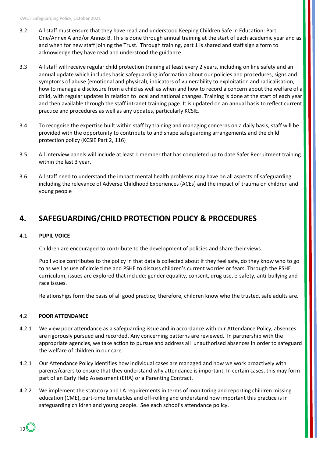- 3.2 All staff must ensure that they have read and understood Keeping Children Safe in Education: Part One/Annex A and/or Annex B. This is done through annual training at the start of each academic year and as and when for new staff joining the Trust. Through training, part 1 is shared and staff sign a form to acknowledge they have read and understood the guidance.
- 3.3 All staff will receive regular child protection training at least every 2 years, including on line safety and an annual update which includes basic safeguarding information about our policies and procedures, signs and symptoms of abuse (emotional and physical), indicators of vulnerability to exploitation and radicalisation, how to manage a disclosure from a child as well as when and how to record a concern about the welfare of a child, with regular updates in relation to local and national changes. Training is done at the start of each year and then available through the staff intranet training page. It is updated on an annual basis to reflect current practice and procedures as well as any updates, particularly KCSIE.
- 3.4 To recognise the expertise built within staff by training and managing concerns on a daily basis, staff will be provided with the opportunity to contribute to and shape safeguarding arrangements and the child protection policy (KCSiE Part 2, 116)
- 3.5 All interview panels will include at least 1 member that has completed up to date Safer Recruitment training within the last 3 year.
- 3.6 All staff need to understand the impact mental health problems may have on all aspects of safeguarding including the relevance of Adverse Childhood Experiences (ACEs) and the impact of trauma on children and young people

## **4. SAFEGUARDING/CHILD PROTECTION POLICY & PROCEDURES**

#### 4.1 **PUPIL VOICE**

Children are encouraged to contribute to the development of policies and share their views.

Pupil voice contributes to the policy in that data is collected about if they feel safe, do they know who to go to as well as use of circle time and PSHE to discuss children's current worries or fears. Through the PSHE curriculum, issues are explored that include: gender equality, consent, drug use, e-safety, anti-bullying and race issues.

Relationships form the basis of all good practice; therefore, children know who the trusted, safe adults are.

#### 4.2 **POOR ATTENDANCE**

- 4.2.1 We view poor attendance as a safeguarding issue and in accordance with our Attendance Policy, absences are rigorously pursued and recorded. Any concerning patterns are reviewed. In partnership with the appropriate agencies, we take action to pursue and address all unauthorised absences in order to safeguard the welfare of children in our care.
- 4.2.1 Our Attendance Policy identifies how individual cases are managed and how we work proactively with parents/carers to ensure that they understand why attendance is important. In certain cases, this may form part of an Early Help Assessment (EHA) or a Parenting Contract.
- 4.2.2 We implement the statutory and LA requirements in terms of monitoring and reporting children missing education (CME), part-time timetables and off-rolling and understand how important this practice is in safeguarding children and young people. See each school's attendance policy.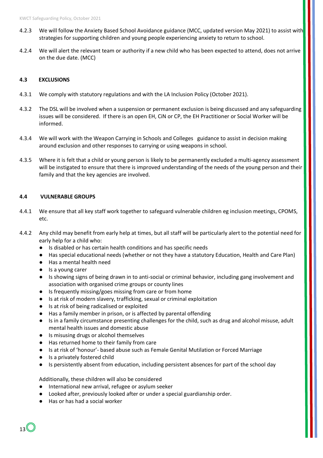- 4.2.3 We will follow the Anxiety Based School Avoidance guidance (MCC, updated version May 2021) to assist with strategies for supporting children and young people experiencing anxiety to return to school.
- 4.2.4 We will alert the relevant team or authority if a new child who has been expected to attend, does not arrive on the due date. (MCC)

#### **4.3 EXCLUSIONS**

- 4.3.1 We comply with statutory regulations and with the LA Inclusion Policy (October 2021).
- 4.3.2 The DSL will be involved when a suspension or permanent exclusion is being discussed and any safeguarding issues will be considered. If there is an open EH, CiN or CP, the EH Practitioner or Social Worker will be informed.
- 4.3.4 We will work with the Weapon Carrying in Schools and Colleges guidance to assist in decision making around exclusion and other responses to carrying or using weapons in school.
- 4.3.5 Where it is felt that a child or young person is likely to be permanently excluded a multi-agency assessment will be instigated to ensure that there is improved understanding of the needs of the young person and their family and that the key agencies are involved.

#### **4.4 VULNERABLE GROUPS**

- 4.4.1 We ensure that all key staff work together to safeguard vulnerable children eg inclusion meetings, CPOMS, etc.
- 4.4.2 Any child may benefit from early help at times, but all staff will be particularly alert to the potential need for early help for a child who:
	- Is disabled or has certain health conditions and has specific needs
	- Has special educational needs (whether or not they have a statutory Education, Health and Care Plan)
	- Has a mental health need
	- Is a young carer
	- Is showing signs of being drawn in to anti-social or criminal behavior, including gang involvement and association with organised crime groups or county lines
	- Is frequently missing/goes missing from care or from home
	- Is at risk of modern slavery, trafficking, sexual or criminal exploitation
	- Is at risk of being radicalised or exploited
	- Has a family member in prison, or is affected by parental offending
	- Is in a family circumstance presenting challenges for the child, such as drug and alcohol misuse, adult mental health issues and domestic abuse
	- Is misusing drugs or alcohol themselves
	- Has returned home to their family from care
	- Is at risk of 'honour'- based abuse such as Female Genital Mutilation or Forced Marriage
	- Is a privately fostered child
	- Is persistently absent from education, including persistent absences for part of the school day

Additionally, these children will also be considered

- International new arrival, refugee or asylum seeker
- Looked after, previously looked after or under a special guardianship order.
- Has or has had a social worker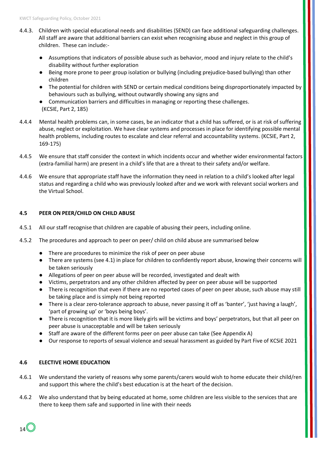- 4.4.3. Children with special educational needs and disabilities (SEND) can face additional safeguarding challenges. All staff are aware that additional barriers can exist when recognising abuse and neglect in this group of children. These can include:-
	- Assumptions that indicators of possible abuse such as behavior, mood and injury relate to the child's disability without further exploration
	- Being more prone to peer group isolation or bullying (including prejudice-based bullying) than other children
	- The potential for children with SEND or certain medical conditions being disproportionately impacted by behaviours such as bullying, without outwardly showing any signs and
	- Communication barriers and difficulties in managing or reporting these challenges. (KCSIE, Part 2, 185)
- 4.4.4 Mental health problems can, in some cases, be an indicator that a child has suffered, or is at risk of suffering abuse, neglect or exploitation. We have clear systems and processes in place for identifying possible mental health problems, including routes to escalate and clear referral and accountability systems. (KCSIE, Part 2, 169-175)
- 4.4.5 We ensure that staff consider the context in which incidents occur and whether wider environmental factors (extra-familial harm) are present in a child's life that are a threat to their safety and/or welfare.
- 4.4.6 We ensure that appropriate staff have the information they need in relation to a child's looked after legal status and regarding a child who was previously looked after and we work with relevant social workers and the Virtual School.

## **4.5 PEER ON PEER/CHILD ON CHILD ABUSE**

- 4.5.1 All our staff recognise that children are capable of abusing their peers, including online.
- 4.5.2 The procedures and approach to peer on peer/ child on child abuse are summarised below
	- There are procedures to minimize the risk of peer on peer abuse
	- There are systems (see 4.1) in place for children to confidently report abuse, knowing their concerns will be taken seriously
	- Allegations of peer on peer abuse will be recorded, investigated and dealt with
	- Victims, perpetrators and any other children affected by peer on peer abuse will be supported
	- There is recognition that even if there are no reported cases of peer on peer abuse, such abuse may still be taking place and is simply not being reported
	- There is a clear zero-tolerance approach to abuse, never passing it off as 'banter', 'just having a laugh', 'part of growing up' or 'boys being boys'.
	- There is recognition that it is more likely girls will be victims and boys' perpetrators, but that all peer on peer abuse is unacceptable and will be taken seriously
	- Staff are aware of the different forms peer on peer abuse can take (See Appendix A)
	- Our response to reports of sexual violence and sexual harassment as guided by Part Five of KCSiE 2021

## **4.6 ELECTIVE HOME EDUCATION**

- 4.6.1 We understand the variety of reasons why some parents/carers would wish to home educate their child/ren and support this where the child's best education is at the heart of the decision.
- 4.6.2 We also understand that by being educated at home, some children are less visible to the services that are there to keep them safe and supported in line with their needs

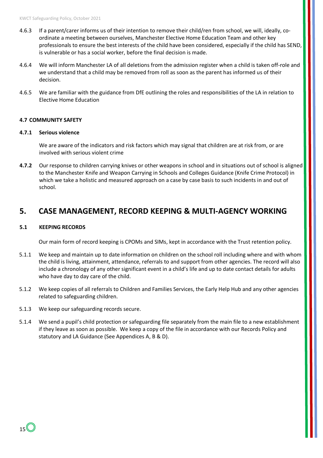- 4.6.3 If a parent/carer informs us of their intention to remove their child/ren from school, we will, ideally, coordinate a meeting between ourselves, Manchester Elective Home Education Team and other key professionals to ensure the best interests of the child have been considered, especially if the child has SEND, is vulnerable or has a social worker, before the final decision is made.
- 4.6.4 We will inform Manchester LA of all deletions from the admission register when a child is taken off-role and we understand that a child may be removed from roll as soon as the parent has informed us of their decision.
- 4.6.5 We are familiar with the guidance from DfE outlining the roles and responsibilities of the LA in relation to Elective Home Education

#### **4.7 COMMUNITY SAFETY**

#### **4.7.1 Serious violence**

We are aware of the indicators and risk factors which may signal that children are at risk from, or are involved with serious violent crime

**4.7.2** Our response to children carrying knives or other weapons in school and in situations out of school is aligned to the Manchester Knife and Weapon Carrying in Schools and Colleges Guidance (Knife Crime Protocol) in which we take a holistic and measured approach on a case by case basis to such incidents in and out of school.

## **5. CASE MANAGEMENT, RECORD KEEPING & MULTI-AGENCY WORKING**

#### **5.1 KEEPING RECORDS**

Our main form of record keeping is CPOMs and SIMs, kept in accordance with the Trust retention policy.

- 5.1.1 We keep and maintain up to date information on children on the school roll including where and with whom the child is living, attainment, attendance, referrals to and support from other agencies. The record will also include a chronology of any other significant event in a child's life and up to date contact details for adults who have day to day care of the child.
- 5.1.2 We keep copies of all referrals to Children and Families Services, the Early Help Hub and any other agencies related to safeguarding children.
- 5.1.3 We keep our safeguarding records secure.
- 5.1.4 We send a pupil's child protection or safeguarding file separately from the main file to a new establishment if they leave as soon as possible. We keep a copy of the file in accordance with our Records Policy and statutory and LA Guidance (See Appendices A, B & D).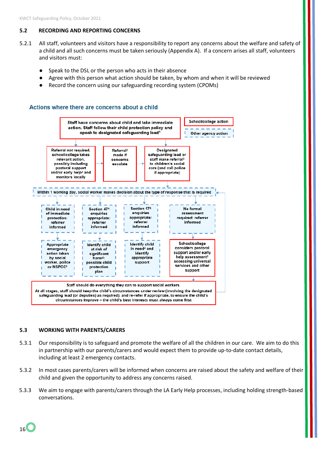## **5.2 RECORDING AND REPORTING CONCERNS**

- 5.2.1 All staff, volunteers and visitors have a responsibility to report any concerns about the welfare and safety of a child and all such concerns must be taken seriously (Appendix A). If a concern arises all staff, volunteers and visitors must:
	- Speak to the DSL or the person who acts in their absence
	- Agree with this person what action should be taken, by whom and when it will be reviewed
	- Record the concern using our safeguarding recording system (CPOMs)

#### Actions where there are concerns about a child



#### **5.3 WORKING WITH PARENTS/CARERS**

16

- 5.3.1 Our responsibility is to safeguard and promote the welfare of all the children in our care. We aim to do this in partnership with our parents/carers and would expect them to provide up-to-date contact details, including at least 2 emergency contacts.
- 5.3.2 In most cases parents/carers will be informed when concerns are raised about the safety and welfare of their child and given the opportunity to address any concerns raised.
- 5.3.3 We aim to engage with parents/carers through the LA Early Help processes, including holding strength-based conversations.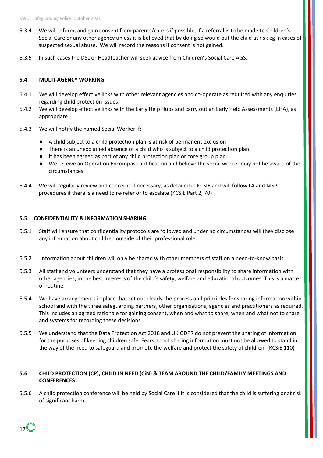- 5.3.4 We will inform, and gain consent from parents/carers if possible, if a referral is to be made to Children's Social Care or any other agency unless it is believed that by doing so would put the child at risk eg in cases of suspected sexual abuse. We will record the reasons if consent is not gained.
- 5.3.5 In such cases the DSL or Headteacher will seek advice from Children's Social Care AGS.

#### **5.4 MULTI-AGENCY WORKING**

- 5.4.1 We will develop effective links with other relevant agencies and co-operate as required with any enquiries regarding child protection issues.
- 5.4.2 We will develop effective links with the Early Help Hubs and carry out an Early Help Assessments (EHA), as appropriate.
- 5.4.3 We will notify the named Social Worker if:
	- A child subject to a child protection plan is at risk of permanent exclusion
	- There is an unexplained absence of a child who is subject to a child protection plan
	- It has been agreed as part of any child protection plan or core group plan.
	- We receive an Operation Encompass notification and believe the social worker may not be aware of the circumstances
- 5.4.4. We will regularly review and concerns if necessary, as detailed in KCSIE and will follow LA and MSP procedures if there is a need to re-refer or to escalate (KCSiE Part 2, 70)

#### **5.5 CONFIDENTIALITY & INFORMATION SHARING**

- 5.5.1 Staff will ensure that confidentiality protocols are followed and under no circumstances will they disclose any information about children outside of their professional role.
- 5.5.2 Information about children will only be shared with other members of staff on a need-to-know basis
- 5.5.3 All staff and volunteers understand that they have a professional responsibility to share information with other agencies, in the best interests of the child's safety, welfare and educational outcomes. This is a matter of routine.
- 5.5.4 We have arrangements in place that set out clearly the process and principles for sharing information within school and with the three safeguarding partners, other organisations, agencies and practitioners as required. This includes an agreed rationale for gaining consent, when and what to share, when and what not to share and systems for recording these decisions.
- 5.5.5 We understand that the Data Protection Act 2018 and UK GDPR do not prevent the sharing of information for the purposes of keeoing children safe. Fears about sharing information must not be allowed to stand in the way of the need to safeguard and promote the welfare and protect the safety of children. (KCSiE 110)

#### **5.6 CHILD PROTECTION (CP), CHILD IN NEED (CiN) & TEAM AROUND THE CHILD/FAMILY MEETINGS AND CONFERENCES**

5.5.6 A child protection conference will be held by Social Care if it is considered that the child is suffering or at risk of significant harm.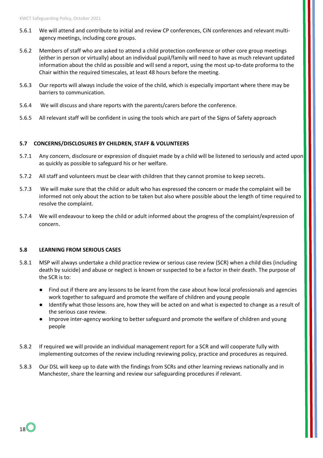- 5.6.1 We will attend and contribute to initial and review CP conferences, CiN conferences and relevant multiagency meetings, including core groups.
- 5.6.2 Members of staff who are asked to attend a child protection conference or other core group meetings (either in person or virtually) about an individual pupil/family will need to have as much relevant updated information about the child as possible and will send a report, using the most up-to-date proforma to the Chair within the required timescales, at least 48 hours before the meeting.
- 5.6.3 Our reports will always include the voice of the child, which is especially important where there may be barriers to communication.
- 5.6.4 We will discuss and share reports with the parents/carers before the conference.
- 5.6.5 All relevant staff will be confident in using the tools which are part of the Signs of Safety approach

#### **5.7 CONCERNS/DISCLOSURES BY CHILDREN, STAFF & VOLUNTEERS**

- 5.7.1 Any concern, disclosure or expression of disquiet made by a child will be listened to seriously and acted upon as quickly as possible to safeguard his or her welfare.
- 5.7.2 All staff and volunteers must be clear with children that they cannot promise to keep secrets.
- 5.7.3 We will make sure that the child or adult who has expressed the concern or made the complaint will be informed not only about the action to be taken but also where possible about the length of time required to resolve the complaint.
- 5.7.4 We will endeavour to keep the child or adult informed about the progress of the complaint/expression of concern.

#### **5.8 LEARNING FROM SERIOUS CASES**

- 5.8.1 MSP will always undertake a child practice review or serious case review (SCR) when a child dies (including death by suicide) and abuse or neglect is known or suspected to be a factor in their death. The purpose of the SCR is to:
	- Find out if there are any lessons to be learnt from the case about how local professionals and agencies work together to safeguard and promote the welfare of children and young people
	- Identify what those lessons are, how they will be acted on and what is expected to change as a result of the serious case review.
	- Improve inter-agency working to better safeguard and promote the welfare of children and young people
- 5.8.2 If required we will provide an individual management report for a SCR and will cooperate fully with implementing outcomes of the review including reviewing policy, practice and procedures as required.
- 5.8.3 Our DSL will keep up to date with the findings from SCRs and other learning reviews nationally and in Manchester, share the learning and review our safeguarding procedures if relevant.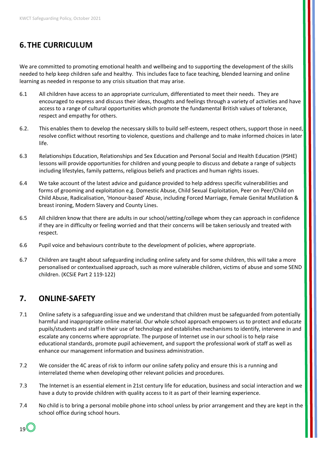# **6.THE CURRICULUM**

We are committed to promoting emotional health and wellbeing and to supporting the development of the skills needed to help keep children safe and healthy. This includes face to face teaching, blended learning and online learning as needed in response to any crisis situation that may arise.

- 6.1 All children have access to an appropriate curriculum, differentiated to meet their needs. They are encouraged to express and discuss their ideas, thoughts and feelings through a variety of activities and have access to a range of cultural opportunities which promote the fundamental British values of tolerance, respect and empathy for others.
- 6.2. This enables them to develop the necessary skills to build self-esteem, respect others, support those in need, resolve conflict without resorting to violence, questions and challenge and to make informed choices in later life.
- 6.3 Relationships Education, Relationships and Sex Education and Personal Social and Health Education (PSHE) lessons will provide opportunities for children and young people to discuss and debate a range of subjects including lifestyles, family patterns, religious beliefs and practices and human rights issues.
- 6.4 We take account of the latest advice and guidance provided to help address specific vulnerabilities and forms of grooming and exploitation e.g. Domestic Abuse, Child Sexual Exploitation, Peer on Peer/Child on Child Abuse, Radicalisation, 'Honour-based' Abuse, including Forced Marriage, Female Genital Mutilation & breast ironing, Modern Slavery and County Lines.
- 6.5 All children know that there are adults in our school/setting/college whom they can approach in confidence if they are in difficulty or feeling worried and that their concerns will be taken seriously and treated with respect.
- 6.6 Pupil voice and behaviours contribute to the development of policies, where appropriate.
- 6.7 Children are taught about safeguarding including online safety and for some children, this will take a more personalised or contextualised approach, such as more vulnerable children, victims of abuse and some SEND children. (KCSiE Part 2 119-122)

## **7. ONLINE-SAFETY**

- 7.1 Online safety is a safeguarding issue and we understand that children must be safeguarded from potentially harmful and inappropriate online material. Our whole school approach empowers us to protect and educate pupils/students and staff in their use of technology and establishes mechanisms to identify, intervene in and escalate any concerns where appropriate. The purpose of Internet use in our school is to help raise educational standards, promote pupil achievement, and support the professional work of staff as well as enhance our management information and business administration.
- 7.2 We consider the 4C areas of risk to inform our online safety policy and ensure this is a running and interrelated theme when developing other relevant policies and procedures.
- 7.3 The Internet is an essential element in 21st century life for education, business and social interaction and we have a duty to provide children with quality access to it as part of their learning experience.
- 7.4 No child is to bring a personal mobile phone into school unless by prior arrangement and they are kept in the school office during school hours.

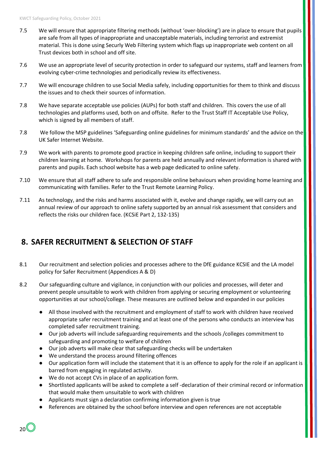- 7.5 We will ensure that appropriate filtering methods (without 'over-blocking') are in place to ensure that pupils are safe from all types of inappropriate and unacceptable materials, including terrorist and extremist material. This is done using Securly Web Filtering system which flags up inappropriate web content on all Trust devices both in school and off site.
- 7.6 We use an appropriate level of security protection in order to safeguard our systems, staff and learners from evolving cyber-crime technologies and periodically review its effectiveness.
- 7.7 We will encourage children to use Social Media safely, including opportunities for them to think and discuss the issues and to check their sources of information.
- 7.8 We have separate acceptable use policies (AUPs) for both staff and children. This covers the use of all technologies and platforms used, both on and offsite. Refer to the Trust Staff IT Acceptable Use Policy, which is signed by all members of staff.
- 7.8 We follow the MSP guidelines 'Safeguarding online guidelines for minimum standards' and the advice on the UK Safer Internet Website.
- 7.9 We work with parents to promote good practice in keeping children safe online, including to support their children learning at home. Workshops for parents are held annually and relevant information is shared with parents and pupils. Each school website has a web page dedicated to online safety.
- 7.10 We ensure that all staff adhere to safe and responsible online behaviours when providing home learning and communicating with families. Refer to the Trust Remote Learning Policy.
- 7.11 As technology, and the risks and harms associated with it, evolve and change rapidly, we will carry out an annual review of our approach to online safety supported by an annual risk assessment that considers and reflects the risks our children face. (KCSiE Part 2, 132-135)

# **8. SAFER RECRUITMENT & SELECTION OF STAFF**

- 8.1 Our recruitment and selection policies and processes adhere to the DfE guidance KCSIE and the LA model policy for Safer Recruitment (Appendices A & D)
- 8.2 Our safeguarding culture and vigilance, in conjunction with our policies and processes, will deter and prevent people unsuitable to work with children from applying or securing employment or volunteering opportunities at our school/college. These measures are outlined below and expanded in our policies
	- All those involved with the recruitment and employment of staff to work with children have received appropriate safer recruitment training and at least one of the persons who conducts an interview has completed safer recruitment training.
	- Our job adverts will include safeguarding requirements and the schools /colleges commitment to safeguarding and promoting to welfare of children
	- Our job adverts will make clear that safeguarding checks will be undertaken
	- We understand the process around filtering offences
	- Our application form will include the statement that it is an offence to apply for the role if an applicant is barred from engaging in regulated activity.
	- We do not accept CVs in place of an application form.
	- Shortlisted applicants will be asked to complete a self -declaration of their criminal record or information that would make them unsuitable to work with children
	- Applicants must sign a declaration confirming information given is true
	- References are obtained by the school before interview and open references are not acceptable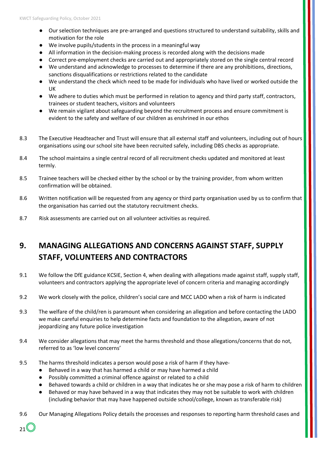- Our selection techniques are pre-arranged and questions structured to understand suitability, skills and motivation for the role
- We involve pupils/students in the process in a meaningful way
- All information in the decision-making process is recorded along with the decisions made
- Correct pre-employment checks are carried out and appropriately stored on the single central record
- We understand and acknowledge to processes to determine if there are any prohibitions, directions, sanctions disqualifications or restrictions related to the candidate
- We understand the check which need to be made for individuals who have lived or worked outside the UK
- We adhere to duties which must be performed in relation to agency and third party staff, contractors, trainees or student teachers, visitors and volunteers
- We remain vigilant about safeguarding beyond the recruitment process and ensure commitment is evident to the safety and welfare of our children as enshrined in our ethos
- 8.3 The Executive Headteacher and Trust will ensure that all external staff and volunteers, including out of hours organisations using our school site have been recruited safely, including DBS checks as appropriate.
- 8.4 The school maintains a single central record of all recruitment checks updated and monitored at least termly.
- 8.5 Trainee teachers will be checked either by the school or by the training provider, from whom written confirmation will be obtained.
- 8.6 Written notification will be requested from any agency or third party organisation used by us to confirm that the organisation has carried out the statutory recruitment checks.
- 8.7 Risk assessments are carried out on all volunteer activities as required.

# **9. MANAGING ALLEGATIONS AND CONCERNS AGAINST STAFF, SUPPLY STAFF, VOLUNTEERS AND CONTRACTORS**

- 9.1 We follow the DfE guidance KCSIE, Section 4, when dealing with allegations made against staff, supply staff, volunteers and contractors applying the appropriate level of concern criteria and managing accordingly
- 9.2 We work closely with the police, children's social care and MCC LADO when a risk of harm is indicated
- 9.3 The welfare of the child/ren is paramount when considering an allegation and before contacting the LADO we make careful enquiries to help determine facts and foundation to the allegation, aware of not jeopardizing any future police investigation
- 9.4 We consider allegations that may meet the harms threshold and those allegations/concerns that do not, referred to as 'low level concerns'
- 9.5 The harms threshold indicates a person would pose a risk of harm if they have-
	- Behaved in a way that has harmed a child or may have harmed a child
	- Possibly committed a criminal offence against or related to a child

21

- Behaved towards a child or children in a way that indicates he or she may pose a risk of harm to children
- Behaved or may have behaved in a way that indicates they may not be suitable to work with children (including behavior that may have happened outside school/college, known as transferable risk)
- 9.6 Our Managing Allegations Policy details the processes and responses to reporting harm threshold cases and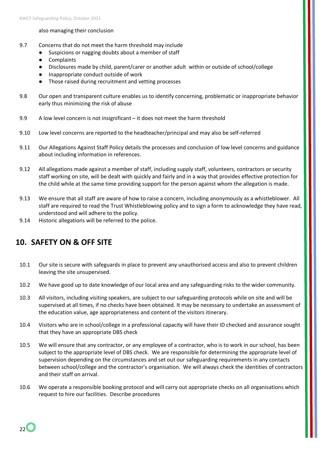#### also managing their conclusion

- 9.7 Concerns that do not meet the harm threshold may include
	- Suspicions or nagging doubts about a member of staff
	- Complaints
	- Disclosures made by child, parent/carer or another adult within or outside of school/college
	- Inappropriate conduct outside of work
	- Those raised during recruitment and vetting processes
- 9.8 Our open and transparent culture enables us to identify concerning, problematic or inappropriate behavior early thus minimizing the risk of abuse
- 9.9 A low level concern is not insignificant it does not meet the harm threshold
- 9.10 Low level concerns are reported to the headteacher/principal and may also be self-referred
- 9.11 Our Allegations Against Staff Policy details the processes and conclusion of low level concerns and guidance about including information in references.
- 9.12 All allegations made against a member of staff, including supply staff, volunteers, contractors or security staff working on site, will be dealt with quickly and fairly and in a way that provides effective protection for the child while at the same time providing support for the person against whom the allegation is made.
- 9.13 We ensure that all staff are aware of how to raise a concern, including anonymously as a whistleblower. All staff are required to read the Trust Whistleblowing policy and to sign a form to acknowledge they have read, understood and will adhere to the policy.
- 9.14 Historic allegations will be referred to the police.

# **10. SAFETY ON & OFF SITE**

- 10.1 Our site is secure with safeguards in place to prevent any unauthorised access and also to prevent children leaving the site unsupervised.
- 10.2 We have good up to date knowledge of our local area and any safeguarding risks to the wider community.
- 10.3 All visitors, including visiting speakers, are subject to our safeguarding protocols while on site and will be supervised at all times, if no checks have been obtained. It may be necessary to undertake an assessment of the education value, age appropriateness and content of the visitors itinerary.
- 10.4 Visitors who are in school/college in a professional capacity will have their ID checked and assurance sought that they have an appropriate DBS check
- 10.5 We will ensure that any contractor, or any employee of a contractor, who is to work in our school, has been subject to the appropriate level of DBS check. We are responsible for determining the appropriate level of supervision depending on the circumstances and set out our safeguarding requirements in any contacts between school/college and the contractor's organisation. We will always check the identities of contractors and their staff on arrival.
- 10.6 We operate a responsible booking protocol and will carry out appropriate checks on all organisations which request to hire our facilities. Describe procedures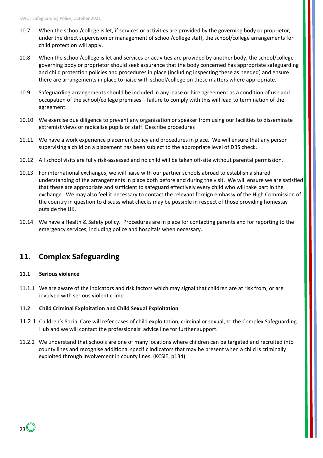- 10.7 When the school/college is let, if services or activities are provided by the governing body or proprietor, under the direct supervision or management of school/college staff, the school/college arrangements for child protection will apply.
- 10.8 When the school/college is let and services or activities are provided by another body, the school/college governing body or proprietor should seek assurance that the body concerned has appropriate safeguarding and child protection policies and procedures in place (including inspecting these as needed) and ensure there are arrangements in place to liaise with school/college on these matters where appropriate.
- 10.9 Safeguarding arrangements should be included in any lease or hire agreement as a condition of use and occupation of the school/college premises – failure to comply with this will lead to termination of the agreement.
- 10.10 We exercise due diligence to prevent any organisation or speaker from using our facilities to disseminate extremist views or radicalise pupils or staff. Describe procedures
- 10.11 We have a work experience placement policy and procedures in place. We will ensure that any person supervising a child on a placement has been subject to the appropriate level of DBS check.
- 10.12 All school visits are fully risk-assessed and no child will be taken off-site without parental permission.
- 10.13 For international exchanges, we will liaise with our partner schools abroad to establish a shared understanding of the arrangements in place both before and during the visit. We will ensure we are satisfied that these are appropriate and sufficient to safeguard effectively every child who will take part in the exchange. We may also feel it necessary to contact the relevant foreign embassy of the High Commission of the country in question to discuss what checks may be possible in respect of those providing homestay outside the UK.
- 10.14 We have a Health & Safety policy. Procedures are in place for contacting parents and for reporting to the emergency services, including police and hospitals when necessary.

## **11. Complex Safeguarding**

#### **11.1 Serious violence**

11.1.1 We are aware of the indicators and risk factors which may signal that children are at risk from, or are involved with serious violent crime

#### **11.2 Child Criminal Exploitation and Child Sexual Exploitation**

- 11.2.1 Children's Social Care will refer cases of child exploitation, criminal or sexual, to the Complex Safeguarding Hub and we will contact the professionals' advice line for further support.
- 11.2.2 We understand that schools are one of many locations where children can be targeted and recruited into county lines and recognise additional specific indicators that may be present when a child is criminally exploited through involvement in county lines. (KCSiE, p134)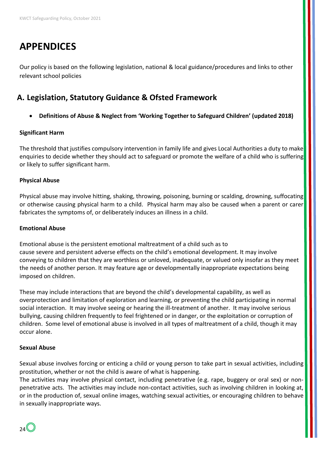# **APPENDICES**

Our policy is based on the following legislation, national & local guidance/procedures and links to other relevant school policies

# **A. Legislation, Statutory Guidance & Ofsted Framework**

• **Definitions of Abuse & Neglect from 'Working Together to Safeguard Children' (updated 2018)**

## **Significant Harm**

The threshold that justifies compulsory intervention in family life and gives Local Authorities a duty to make enquiries to decide whether they should act to safeguard or promote the welfare of a child who is suffering or likely to suffer significant harm.

## **Physical Abuse**

Physical abuse may involve hitting, shaking, throwing, poisoning, burning or scalding, drowning, suffocating or otherwise causing physical harm to a child. Physical harm may also be caused when a parent or carer fabricates the symptoms of, or deliberately induces an illness in a child.

## **Emotional Abuse**

Emotional abuse is the persistent emotional maltreatment of a child such as to cause severe and persistent adverse effects on the child's emotional development. It may involve conveying to children that they are worthless or unloved, inadequate, or valued only insofar as they meet the needs of another person. It may feature age or developmentally inappropriate expectations being imposed on children.

These may include interactions that are beyond the child's developmental capability, as well as overprotection and limitation of exploration and learning, or preventing the child participating in normal social interaction. It may involve seeing or hearing the ill-treatment of another. It may involve serious bullying, causing children frequently to feel frightened or in danger, or the exploitation or corruption of children. Some level of emotional abuse is involved in all types of maltreatment of a child, though it may occur alone.

## **Sexual Abuse**

Sexual abuse involves forcing or enticing a child or young person to take part in sexual activities, including prostitution, whether or not the child is aware of what is happening.

The activities may involve physical contact, including penetrative (e.g. rape, buggery or oral sex) or nonpenetrative acts. The activities may include non-contact activities, such as involving children in looking at, or in the production of, sexual online images, watching sexual activities, or encouraging children to behave in sexually inappropriate ways.

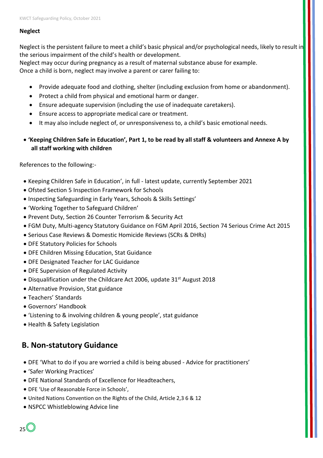#### **Neglect**

Neglect is the persistent failure to meet a child's basic physical and/or psychological needs, likely to result in the serious impairment of the child's health or development.

Neglect may occur during pregnancy as a result of maternal substance abuse for example. Once a child is born, neglect may involve a parent or carer failing to:

- Provide adequate food and clothing, shelter (including exclusion from home or abandonment).
- Protect a child from physical and emotional harm or danger.
- Ensure adequate supervision (including the use of inadequate caretakers).
- Ensure access to appropriate medical care or treatment.
- It may also include neglect of, or unresponsiveness to, a child's basic emotional needs.
- **'Keeping Children Safe in Education', Part 1, to be read by all staff & volunteers and Annexe A by all staff working with children**

References to the following:-

- Keeping Children Safe in Education', in full latest update, currently September 2021
- Ofsted Section 5 Inspection Framework for Schools
- Inspecting Safeguarding in Early Years, Schools & Skills Settings'
- 'Working Together to Safeguard Children'
- Prevent Duty, Section 26 Counter Terrorism & Security Act
- FGM Duty, Multi-agency Statutory Guidance on FGM April 2016, Section 74 Serious Crime Act 2015
- Serious Case Reviews & Domestic Homicide Reviews (SCRs & DHRs)
- DFE Statutory Policies for Schools
- DFE Children Missing Education, Stat Guidance
- DFE Designated Teacher for LAC Guidance
- DFE Supervision of Regulated Activity
- Disqualification under the Childcare Act 2006, update 31<sup>st</sup> August 2018
- Alternative Provision, Stat guidance
- Teachers' Standards
- Governors' Handbook
- 'Listening to & involving children & young people', stat guidance
- Health & Safety Legislation

## **B. Non-statutory Guidance**

- DFE 'What to do if you are worried a child is being abused Advice for practitioners['](https://www.gov.uk/government/publications/what-to-do-if-youre-worried-a-child-is-being-abused--2)
- 'Safer Working Practices'
- DFE National Standards of Excellence for Headteachers,
- DFE 'Use of Reasonable Force in Schools',
- United Nations Convention on the Rights of the Child, Article 2,3 6 & 12
- NSPCC Whistleblowing Advice line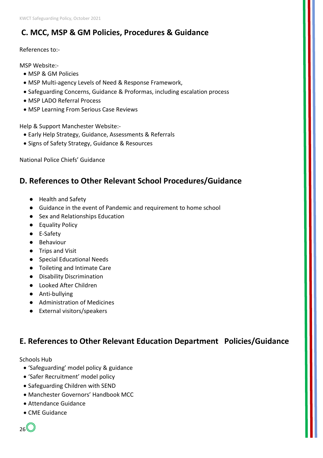# **C. MCC, MSP & GM Policies, Procedures & Guidance**

## References to:-

MSP Website:-

- MSP & GM Policies
- MSP Multi-agency Levels of Need & Response Framework,
- Safeguarding Concerns, Guidance & Proformas, including escalation process
- MSP LADO Referral Process
- MSP Learning From Serious Case Reviews

Help & Support Manchester Website:-

- Early Help Strategy, Guidance, Assessments & Referrals
- Signs of Safety Strategy, Guidance & Resources

National Police Chiefs' Guidance

# **D. References to Other Relevant School Procedures/Guidance**

- Health and Safety
- Guidance in the event of Pandemic and requirement to home school
- Sex and Relationships Education
- Equality Policy
- E-Safety
- Behaviour
- Trips and Visit
- Special Educational Needs
- Toileting and Intimate Care
- Disability Discrimination
- Looked After Children
- Anti-bullying
- Administration of Medicines
- External visitors/speakers

# **E. References to Other Relevant Education Department Policies/Guidance**

Schools Hub

- 'Safeguarding' model policy & guidance
- 'Safer Recruitment' model policy
- Safeguarding Children with SEND
- Manchester Governors' Handbook MCC
- Attendance Guidance
- CME Guidance